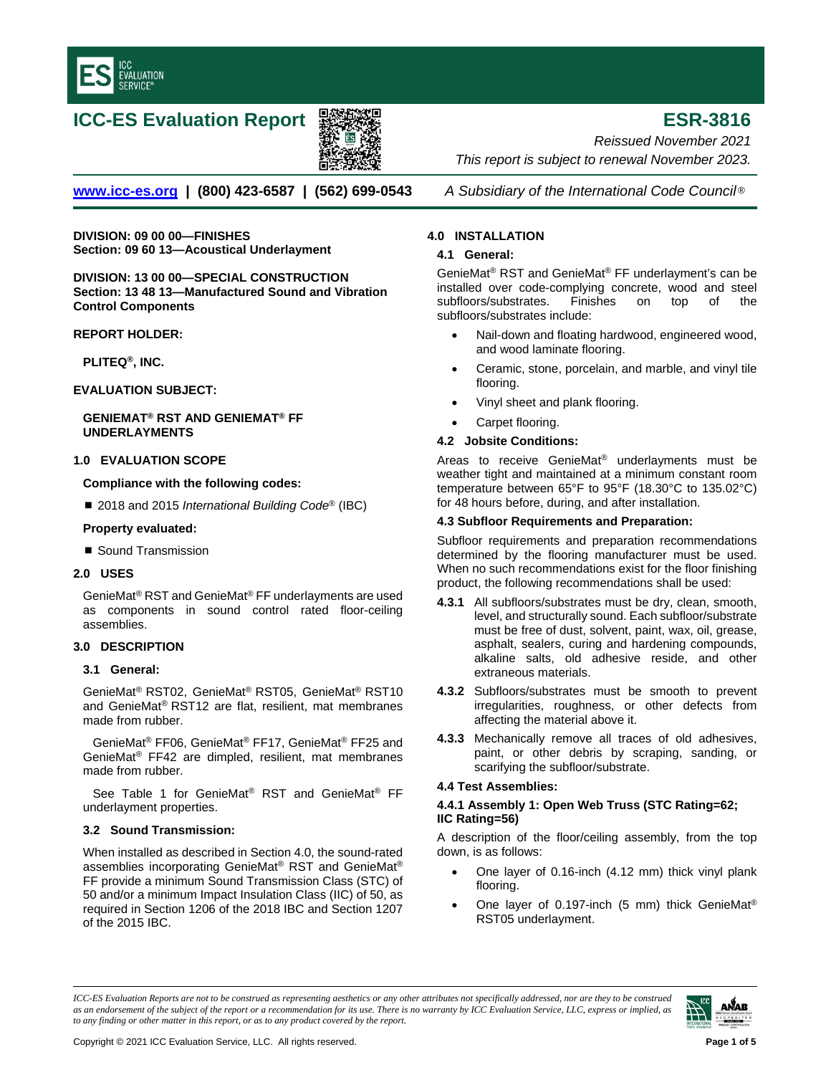

# **ICC-ES Evaluation Report ESR-3816**



*Reissued November 2021 This report is subject to renewal November 2023.* 

**[www.icc-es.org](http://www.icc-es.org/) | (800) 423-6587 | (562) 699-0543** *A Subsidiary of the International Code Council* ®

**DIVISION: 09 00 00—FINISHES Section: 09 60 13—Acoustical Underlayment**

**DIVISION: 13 00 00—SPECIAL CONSTRUCTION Section: 13 48 13—Manufactured Sound and Vibration Control Components**

**REPORT HOLDER:**

**PLITEQ®, INC.**

**EVALUATION SUBJECT:** 

**GENIEMAT® RST AND GENIEMAT® FF UNDERLAYMENTS** 

# **1.0 EVALUATION SCOPE**

**Compliance with the following codes:**

■ 2018 and 2015 *International Building Code<sup>®</sup>* (IBC)

#### **Property evaluated:**

Sound Transmission

# **2.0 USES**

GenieMat® RST and GenieMat® FF underlayments are used as components in sound control rated floor-ceiling assemblies.

# **3.0 DESCRIPTION**

#### **3.1 General:**

GenieMat® RST02, GenieMat® RST05, GenieMat® RST10 and GenieMat® RST12 are flat, resilient, mat membranes made from rubber.

GenieMat® FF06, GenieMat® FF17, GenieMat® FF25 and GenieMat® FF42 are dimpled, resilient, mat membranes made from rubber.

See Table 1 for GenieMat® RST and GenieMat® FF underlayment properties.

# **3.2 Sound Transmission:**

When installed as described in Section 4.0, the sound-rated assemblies incorporating GenieMat® RST and GenieMat® FF provide a minimum Sound Transmission Class (STC) of 50 and/or a minimum Impact Insulation Class (IIC) of 50, as required in Section 1206 of the 2018 IBC and Section 1207 of the 2015 IBC.

# **4.0 INSTALLATION**

#### **4.1 General:**

GenieMat® RST and GenieMat® FF underlayment's can be installed over code-complying concrete, wood and steel<br>subfloors/substrates. Finishes on top of the subfloors/substrates. Finishes on top of the subfloors/substrates include:

- Nail-down and floating hardwood, engineered wood, and wood laminate flooring.
- Ceramic, stone, porcelain, and marble, and vinyl tile flooring.
- Vinyl sheet and plank flooring.
- Carpet flooring.

#### **4.2 Jobsite Conditions:**

Areas to receive GenieMat® underlayments must be weather tight and maintained at a minimum constant room temperature between 65°F to 95°F (18.30°C to 135.02°C) for 48 hours before, during, and after installation.

#### **4.3 Subfloor Requirements and Preparation:**

Subfloor requirements and preparation recommendations determined by the flooring manufacturer must be used. When no such recommendations exist for the floor finishing product, the following recommendations shall be used:

- **4.3.1** All subfloors/substrates must be dry, clean, smooth, level, and structurally sound. Each subfloor/substrate must be free of dust, solvent, paint, wax, oil, grease, asphalt, sealers, curing and hardening compounds, alkaline salts, old adhesive reside, and other extraneous materials.
- **4.3.2** Subfloors/substrates must be smooth to prevent irregularities, roughness, or other defects from affecting the material above it.
- **4.3.3** Mechanically remove all traces of old adhesives, paint, or other debris by scraping, sanding, or scarifying the subfloor/substrate.

# **4.4 Test Assemblies:**

# **4.4.1 Assembly 1: Open Web Truss (STC Rating=62; IIC Rating=56)**

- One layer of 0.16-inch (4.12 mm) thick vinyl plank flooring.
- One layer of 0.197-inch (5 mm) thick GenieMat® RST05 underlayment.

*ICC-ES Evaluation Reports are not to be construed as representing aesthetics or any other attributes not specifically addressed, nor are they to be construed as an endorsement of the subject of the report or a recommendation for its use. There is no warranty by ICC Evaluation Service, LLC, express or implied, as to any finding or other matter in this report, or as to any product covered by the report.*

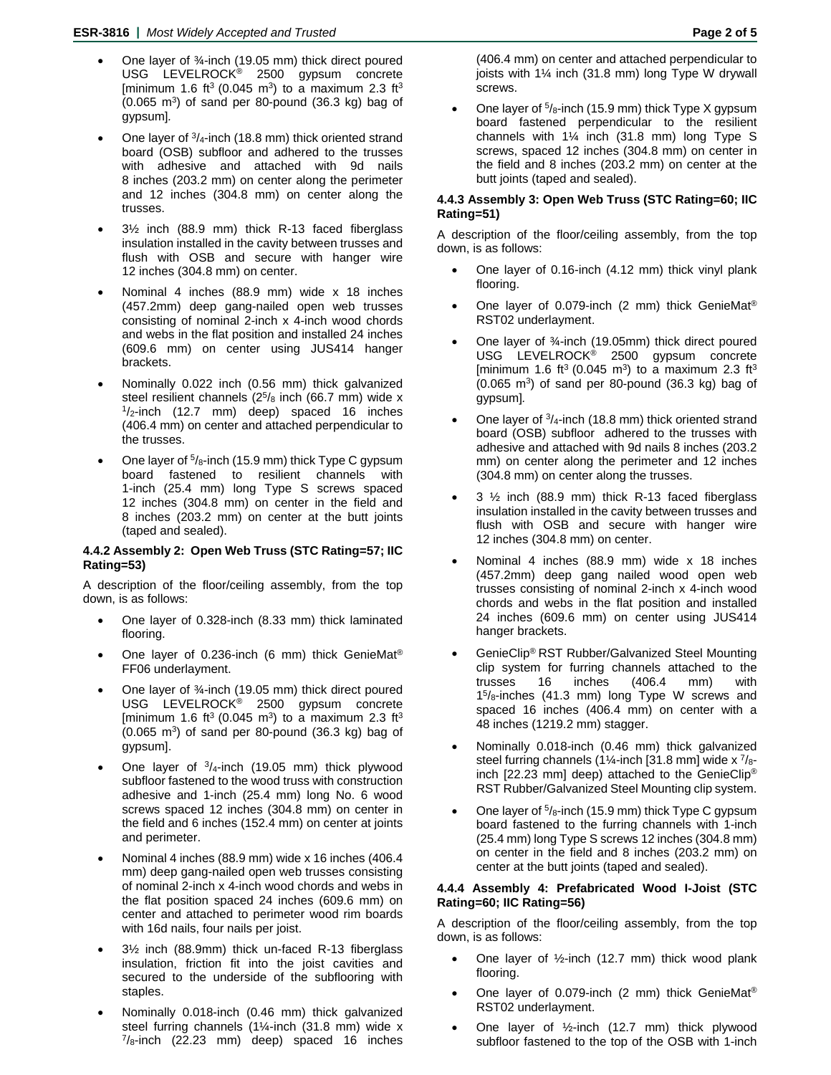- One layer of ¾-inch (19.05 mm) thick direct poured USG LEVELROCK® 2500 gypsum concrete [minimum 1.6 ft<sup>3</sup> (0.045 m<sup>3</sup>) to a maximum 2.3 ft<sup>3</sup>  $(0.065 \text{ m}^3)$  of sand per 80-pound  $(36.3 \text{ kg})$  bag of gypsum]*.*
- One layer of  $\frac{3}{4}$ -inch (18.8 mm) thick oriented strand board (OSB) subfloor and adhered to the trusses with adhesive and attached with 9d nails 8 inches (203.2 mm) on center along the perimeter and 12 inches (304.8 mm) on center along the trusses.
- 3½ inch (88.9 mm) thick R-13 faced fiberglass insulation installed in the cavity between trusses and flush with OSB and secure with hanger wire 12 inches (304.8 mm) on center.
- Nominal 4 inches (88.9 mm) wide x 18 inches (457.2mm) deep gang-nailed open web trusses consisting of nominal 2-inch x 4-inch wood chords and webs in the flat position and installed 24 inches (609.6 mm) on center using JUS414 hanger brackets.
- Nominally 0.022 inch (0.56 mm) thick galvanized steel resilient channels  $(2^5/s)$  inch  $(66.7 \text{ mm})$  wide x  $1/z$ -inch  $(12.7 \text{ mm})$  deep) spaced 16 inches (406.4 mm) on center and attached perpendicular to the trusses.
- One layer of  $5/8$ -inch (15.9 mm) thick Type C gypsum board fastened to resilient channels with 1-inch (25.4 mm) long Type S screws spaced 12 inches (304.8 mm) on center in the field and 8 inches (203.2 mm) on center at the butt joints (taped and sealed).

# **4.4.2 Assembly 2: Open Web Truss (STC Rating=57; IIC Rating=53)**

A description of the floor/ceiling assembly, from the top down, is as follows:

- One layer of 0.328-inch (8.33 mm) thick laminated flooring.
- One layer of 0.236-inch (6 mm) thick GenieMat® FF06 underlayment.
- One layer of ¾-inch (19.05 mm) thick direct poured USG LEVELROCK® 2500 gypsum concrete [minimum 1.6 ft<sup>3</sup> (0.045 m<sup>3</sup>) to a maximum 2.3 ft<sup>3</sup>  $(0.065 \text{ m}^3)$  of sand per 80-pound  $(36.3 \text{ kg})$  bag of gypsum].
- One layer of  $3/4$ -inch (19.05 mm) thick plywood subfloor fastened to the wood truss with construction adhesive and 1-inch (25.4 mm) long No. 6 wood screws spaced 12 inches (304.8 mm) on center in the field and 6 inches (152.4 mm) on center at joints and perimeter.
- Nominal 4 inches (88.9 mm) wide x 16 inches (406.4 mm) deep gang-nailed open web trusses consisting of nominal 2-inch x 4-inch wood chords and webs in the flat position spaced 24 inches (609.6 mm) on center and attached to perimeter wood rim boards with 16d nails, four nails per joist.
- 3½ inch (88.9mm) thick un-faced R-13 fiberglass insulation, friction fit into the joist cavities and secured to the underside of the subflooring with staples.
- Nominally 0.018-inch (0.46 mm) thick galvanized steel furring channels (1¼-inch (31.8 mm) wide x  $\frac{7}{8}$ -inch (22.23 mm) deep) spaced 16 inches

(406.4 mm) on center and attached perpendicular to joists with 1¼ inch (31.8 mm) long Type W drywall screws.

One layer of  $\frac{5}{8}$ -inch (15.9 mm) thick Type X gypsum board fastened perpendicular to the resilient channels with  $1\frac{1}{4}$  inch (31.8 mm) long Type S screws, spaced 12 inches (304.8 mm) on center in the field and 8 inches (203.2 mm) on center at the butt joints (taped and sealed).

# **4.4.3 Assembly 3: Open Web Truss (STC Rating=60; IIC Rating=51)**

A description of the floor/ceiling assembly, from the top down, is as follows:

- One layer of 0.16-inch (4.12 mm) thick vinyl plank flooring.
- One layer of 0.079-inch (2 mm) thick GenieMat<sup>®</sup> RST02 underlayment.
- One layer of ¾-inch (19.05mm) thick direct poured USG LEVELROCK® 2500 gypsum concrete [minimum 1.6 ft<sup>3</sup> (0.045 m<sup>3</sup>) to a maximum 2.3 ft<sup>3</sup>  $(0.065 \text{ m}^3)$  of sand per 80-pound  $(36.3 \text{ kg})$  bag of gypsum]*.*
- One layer of  $\frac{3}{4}$ -inch (18.8 mm) thick oriented strand board (OSB) subfloor adhered to the trusses with adhesive and attached with 9d nails 8 inches (203.2 mm) on center along the perimeter and 12 inches (304.8 mm) on center along the trusses.
- $3\frac{1}{2}$  inch (88.9 mm) thick R-13 faced fiberglass insulation installed in the cavity between trusses and flush with OSB and secure with hanger wire 12 inches (304.8 mm) on center.
- Nominal 4 inches (88.9 mm) wide x 18 inches (457.2mm) deep gang nailed wood open web trusses consisting of nominal 2-inch x 4-inch wood chords and webs in the flat position and installed 24 inches (609.6 mm) on center using JUS414 hanger brackets.
- GenieClip® RST Rubber/Galvanized Steel Mounting clip system for furring channels attached to the trusses 16 inches (406.4 mm) with 15/8-inches (41.3 mm) long Type W screws and spaced 16 inches (406.4 mm) on center with a 48 inches (1219.2 mm) stagger.
- Nominally 0.018-inch (0.46 mm) thick galvanized steel furring channels (1¼-inch [31.8 mm] wide  $x^7$ /8inch [22.23 mm] deep) attached to the GenieClip® RST Rubber/Galvanized Steel Mounting clip system.
- One layer of  $5/8$ -inch (15.9 mm) thick Type C gypsum board fastened to the furring channels with 1-inch (25.4 mm) long Type S screws 12 inches (304.8 mm) on center in the field and 8 inches (203.2 mm) on center at the butt joints (taped and sealed).

# **4.4.4 Assembly 4: Prefabricated Wood I-Joist (STC Rating=60; IIC Rating=56)**

- One layer of  $\frac{1}{2}$ -inch (12.7 mm) thick wood plank flooring.
- One layer of 0.079-inch (2 mm) thick GenieMat® RST02 underlayment.
- One layer of ½-inch (12.7 mm) thick plywood subfloor fastened to the top of the OSB with 1-inch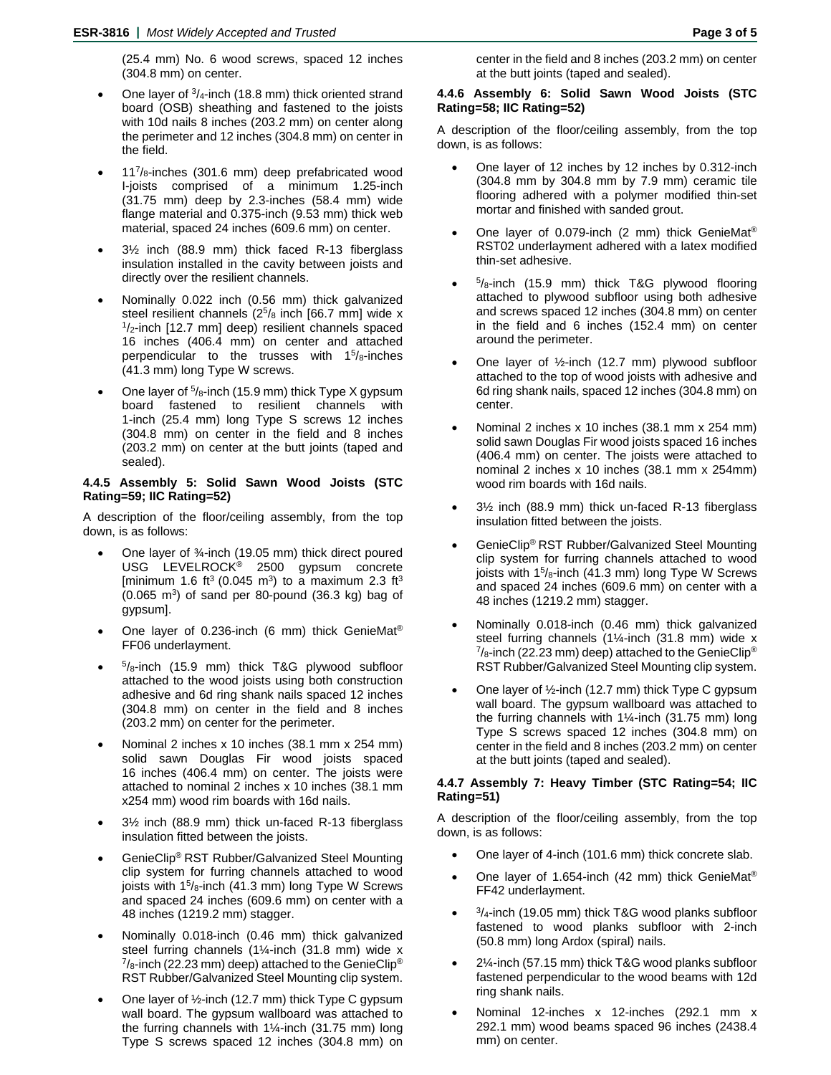(25.4 mm) No. 6 wood screws, spaced 12 inches (304.8 mm) on center.

- One layer of  $3/4$ -inch (18.8 mm) thick oriented strand board (OSB) sheathing and fastened to the joists with 10d nails 8 inches (203.2 mm) on center along the perimeter and 12 inches (304.8 mm) on center in the field.
- $11^{7}/<sub>8</sub>$ -inches (301.6 mm) deep prefabricated wood I-joists comprised of a minimum 1.25-inch (31.75 mm) deep by 2.3-inches (58.4 mm) wide flange material and 0.375-inch (9.53 mm) thick web material, spaced 24 inches (609.6 mm) on center.
- 3½ inch (88.9 mm) thick faced R-13 fiberglass insulation installed in the cavity between joists and directly over the resilient channels.
- Nominally 0.022 inch (0.56 mm) thick galvanized steel resilient channels ( $2^{5}/8$  inch [66.7 mm] wide x  $1/2$ -inch [12.7 mm] deep) resilient channels spaced 16 inches (406.4 mm) on center and attached perpendicular to the trusses with  $15/8$ -inches (41.3 mm) long Type W screws.
- One layer of  $5/8$ -inch (15.9 mm) thick Type X gypsum board fastened to resilient channels with 1-inch (25.4 mm) long Type S screws 12 inches (304.8 mm) on center in the field and 8 inches (203.2 mm) on center at the butt joints (taped and sealed).

## **4.4.5 Assembly 5: Solid Sawn Wood Joists (STC Rating=59; IIC Rating=52)**

A description of the floor/ceiling assembly, from the top down, is as follows:

- One layer of ¾-inch (19.05 mm) thick direct poured USG LEVELROCK® 2500 gypsum concrete [minimum 1.6 ft<sup>3</sup> (0.045 m<sup>3</sup>) to a maximum 2.3 ft<sup>3</sup>  $(0.065 \text{ m}^3)$  of sand per 80-pound  $(36.3 \text{ kg})$  bag of gypsum].
- One layer of 0.236-inch (6 mm) thick GenieMat® FF06 underlayment.
- $5/8$ -inch (15.9 mm) thick T&G plywood subfloor attached to the wood joists using both construction adhesive and 6d ring shank nails spaced 12 inches (304.8 mm) on center in the field and 8 inches (203.2 mm) on center for the perimeter.
- Nominal 2 inches x 10 inches (38.1 mm x 254 mm) solid sawn Douglas Fir wood joists spaced 16 inches (406.4 mm) on center. The joists were attached to nominal 2 inches x 10 inches (38.1 mm x254 mm) wood rim boards with 16d nails.
- 3½ inch (88.9 mm) thick un-faced R-13 fiberglass insulation fitted between the joists.
- GenieClip® RST Rubber/Galvanized Steel Mounting clip system for furring channels attached to wood joists with  $15/8$ -inch (41.3 mm) long Type W Screws and spaced 24 inches (609.6 mm) on center with a 48 inches (1219.2 mm) stagger.
- Nominally 0.018-inch (0.46 mm) thick galvanized steel furring channels (1¼-inch (31.8 mm) wide x  $\frac{7}{8}$ -inch (22.23 mm) deep) attached to the GenieClip® RST Rubber/Galvanized Steel Mounting clip system.
- One layer of ½-inch (12.7 mm) thick Type C gypsum wall board. The gypsum wallboard was attached to the furring channels with  $1\frac{1}{4}$ -inch (31.75 mm) long Type S screws spaced 12 inches (304.8 mm) on

center in the field and 8 inches (203.2 mm) on center at the butt joints (taped and sealed).

#### **4.4.6 Assembly 6: Solid Sawn Wood Joists (STC Rating=58; IIC Rating=52)**

A description of the floor/ceiling assembly, from the top down, is as follows:

- One layer of 12 inches by 12 inches by 0.312-inch (304.8 mm by 304.8 mm by 7.9 mm) ceramic tile flooring adhered with a polymer modified thin-set mortar and finished with sanded grout.
- One layer of 0.079-inch (2 mm) thick GenieMat® RST02 underlayment adhered with a latex modified thin-set adhesive.
- $5\frac{1}{8}$ -inch (15.9 mm) thick T&G plywood flooring attached to plywood subfloor using both adhesive and screws spaced 12 inches (304.8 mm) on center in the field and 6 inches (152.4 mm) on center around the perimeter.
- One layer of  $\frac{1}{2}$ -inch (12.7 mm) plywood subfloor attached to the top of wood joists with adhesive and 6d ring shank nails, spaced 12 inches (304.8 mm) on center.
- Nominal 2 inches x 10 inches (38.1 mm x 254 mm) solid sawn Douglas Fir wood joists spaced 16 inches (406.4 mm) on center. The joists were attached to nominal 2 inches x 10 inches (38.1 mm x 254mm) wood rim boards with 16d nails.
- 3½ inch (88.9 mm) thick un-faced R-13 fiberglass insulation fitted between the joists.
- GenieClip® RST Rubber/Galvanized Steel Mounting clip system for furring channels attached to wood joists with 1<sup>5</sup>/8-inch (41.3 mm) long Type W Screws and spaced 24 inches (609.6 mm) on center with a 48 inches (1219.2 mm) stagger.
- Nominally 0.018-inch (0.46 mm) thick galvanized steel furring channels (1¼-inch (31.8 mm) wide x  $\frac{7}{8}$ -inch (22.23 mm) deep) attached to the GenieClip<sup>®</sup> RST Rubber/Galvanized Steel Mounting clip system.
- One layer of ½-inch (12.7 mm) thick Type C gypsum wall board. The gypsum wallboard was attached to the furring channels with 1¼-inch (31.75 mm) long Type S screws spaced 12 inches (304.8 mm) on center in the field and 8 inches (203.2 mm) on center at the butt joints (taped and sealed).

#### **4.4.7 Assembly 7: Heavy Timber (STC Rating=54; IIC Rating=51)**

- One layer of 4-inch (101.6 mm) thick concrete slab.
- One layer of 1.654-inch (42 mm) thick GenieMat® FF42 underlayment.
- $\frac{3}{4}$ -inch (19.05 mm) thick T&G wood planks subfloor fastened to wood planks subfloor with 2-inch (50.8 mm) long Ardox (spiral) nails.
- 2¼-inch (57.15 mm) thick T&G wood planks subfloor fastened perpendicular to the wood beams with 12d ring shank nails.
- Nominal 12-inches x 12-inches (292.1 mm x 292.1 mm) wood beams spaced 96 inches (2438.4 mm) on center.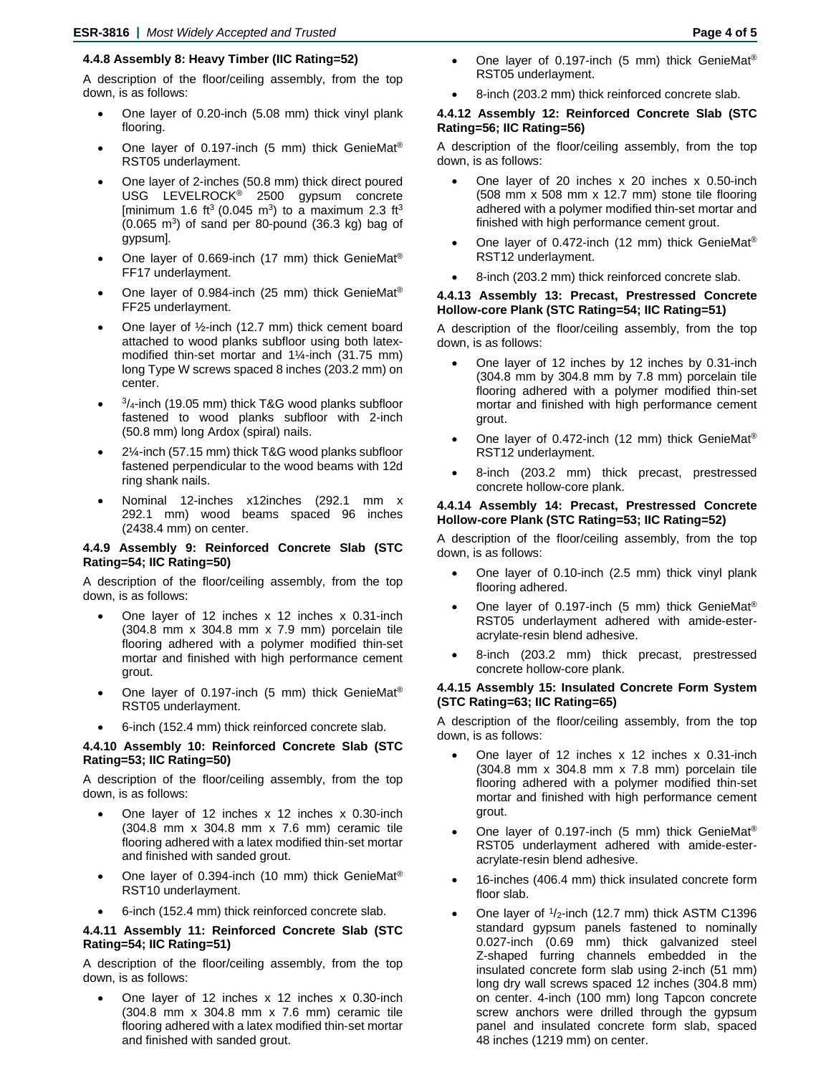## **4.4.8 Assembly 8: Heavy Timber (IIC Rating=52)**

A description of the floor/ceiling assembly, from the top down, is as follows:

- One layer of 0.20-inch (5.08 mm) thick vinyl plank flooring.
- One layer of 0.197-inch (5 mm) thick GenieMat® RST05 underlayment.
- One layer of 2-inches (50.8 mm) thick direct poured USG LEVELROCK® 2500 gypsum concrete [minimum 1.6 ft<sup>3</sup> (0.045 m<sup>3</sup>) to a maximum 2.3 ft<sup>3</sup>  $(0.065 \text{ m}^3)$  of sand per 80-pound  $(36.3 \text{ kg})$  bag of gypsum]*.*
- One layer of 0.669-inch (17 mm) thick GenieMat<sup>®</sup> FF17 underlayment.
- One layer of 0.984-inch (25 mm) thick GenieMat® FF25 underlayment.
- One layer of  $\frac{1}{2}$ -inch (12.7 mm) thick cement board attached to wood planks subfloor using both latexmodified thin-set mortar and 1¼-inch (31.75 mm) long Type W screws spaced 8 inches (203.2 mm) on center.
- $\frac{3}{4}$ -inch (19.05 mm) thick T&G wood planks subfloor fastened to wood planks subfloor with 2-inch (50.8 mm) long Ardox (spiral) nails.
- 2¼-inch (57.15 mm) thick T&G wood planks subfloor fastened perpendicular to the wood beams with 12d ring shank nails.
- Nominal 12-inches x12inches (292.1 mm x 292.1 mm) wood beams spaced 96 inches (2438.4 mm) on center.

#### **4.4.9 Assembly 9: Reinforced Concrete Slab (STC Rating=54; IIC Rating=50)**

A description of the floor/ceiling assembly, from the top down, is as follows:

- One layer of 12 inches x 12 inches x 0.31-inch (304.8 mm x 304.8 mm x 7.9 mm) porcelain tile flooring adhered with a polymer modified thin-set mortar and finished with high performance cement grout.
- One layer of 0.197-inch (5 mm) thick GenieMat® RST05 underlayment.
- 6-inch (152.4 mm) thick reinforced concrete slab.

#### **4.4.10 Assembly 10: Reinforced Concrete Slab (STC Rating=53; IIC Rating=50)**

A description of the floor/ceiling assembly, from the top down, is as follows:

- One layer of 12 inches x 12 inches x 0.30-inch (304.8 mm x 304.8 mm x 7.6 mm) ceramic tile flooring adhered with a latex modified thin-set mortar and finished with sanded grout.
- One layer of 0.394-inch (10 mm) thick GenieMat<sup>®</sup> RST10 underlayment.
- 6-inch (152.4 mm) thick reinforced concrete slab.

# **4.4.11 Assembly 11: Reinforced Concrete Slab (STC Rating=54; IIC Rating=51)**

A description of the floor/ceiling assembly, from the top down, is as follows:

• One layer of 12 inches x 12 inches x 0.30-inch (304.8 mm x 304.8 mm x 7.6 mm) ceramic tile flooring adhered with a latex modified thin-set mortar and finished with sanded grout.

- One layer of 0.197-inch (5 mm) thick GenieMat® RST05 underlayment.
- 8-inch (203.2 mm) thick reinforced concrete slab.

## **4.4.12 Assembly 12: Reinforced Concrete Slab (STC Rating=56; IIC Rating=56)**

A description of the floor/ceiling assembly, from the top down, is as follows:

- One layer of 20 inches x 20 inches x 0.50-inch (508 mm x 508 mm x 12.7 mm) stone tile flooring adhered with a polymer modified thin-set mortar and finished with high performance cement grout.
- One layer of 0.472-inch (12 mm) thick GenieMat® RST12 underlayment.
- 8-inch (203.2 mm) thick reinforced concrete slab.

#### **4.4.13 Assembly 13: Precast, Prestressed Concrete Hollow-core Plank (STC Rating=54; IIC Rating=51)**

A description of the floor/ceiling assembly, from the top down, is as follows:

- One layer of 12 inches by 12 inches by 0.31-inch (304.8 mm by 304.8 mm by 7.8 mm) porcelain tile flooring adhered with a polymer modified thin-set mortar and finished with high performance cement grout.
- One layer of 0.472-inch (12 mm) thick GenieMat® RST12 underlayment.
- 8-inch (203.2 mm) thick precast, prestressed concrete hollow-core plank.

#### **4.4.14 Assembly 14: Precast, Prestressed Concrete Hollow-core Plank (STC Rating=53; IIC Rating=52)**

A description of the floor/ceiling assembly, from the top down, is as follows:

- One layer of 0.10-inch (2.5 mm) thick vinyl plank flooring adhered.
- One layer of 0.197-inch (5 mm) thick GenieMat® RST05 underlayment adhered with amide-esteracrylate-resin blend adhesive.
- 8-inch (203.2 mm) thick precast, prestressed concrete hollow-core plank.

#### **4.4.15 Assembly 15: Insulated Concrete Form System (STC Rating=63; IIC Rating=65)**

- One layer of 12 inches x 12 inches x 0.31-inch (304.8 mm x 304.8 mm x 7.8 mm) porcelain tile flooring adhered with a polymer modified thin-set mortar and finished with high performance cement grout.
- One layer of 0.197-inch (5 mm) thick GenieMat® RST05 underlayment adhered with amide-esteracrylate-resin blend adhesive.
- 16-inches (406.4 mm) thick insulated concrete form floor slab.
- One layer of  $1/2$ -inch (12.7 mm) thick ASTM C1396 standard gypsum panels fastened to nominally 0.027-inch (0.69 mm) thick galvanized steel Z-shaped furring channels embedded in the insulated concrete form slab using 2-inch (51 mm) long dry wall screws spaced 12 inches (304.8 mm) on center. 4-inch (100 mm) long Tapcon concrete screw anchors were drilled through the gypsum panel and insulated concrete form slab, spaced 48 inches (1219 mm) on center.